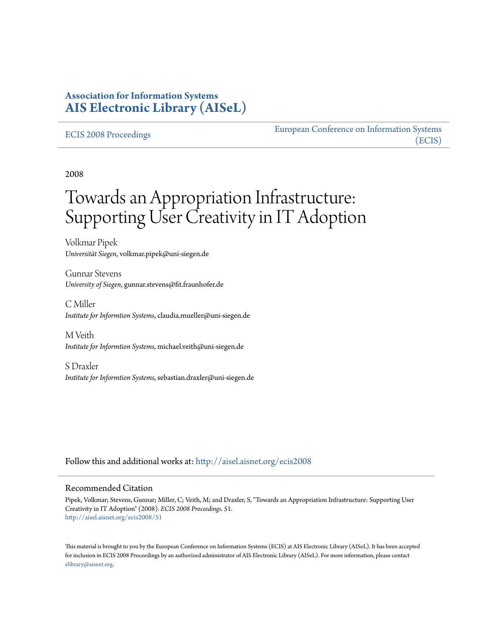## **Association for Information Systems [AIS Electronic Library \(AISeL\)](http://aisel.aisnet.org?utm_source=aisel.aisnet.org%2Fecis2008%2F51&utm_medium=PDF&utm_campaign=PDFCoverPages)**

#### [ECIS 2008 Proceedings](http://aisel.aisnet.org/ecis2008?utm_source=aisel.aisnet.org%2Fecis2008%2F51&utm_medium=PDF&utm_campaign=PDFCoverPages)

[European Conference on Information Systems](http://aisel.aisnet.org/ecis?utm_source=aisel.aisnet.org%2Fecis2008%2F51&utm_medium=PDF&utm_campaign=PDFCoverPages) [\(ECIS\)](http://aisel.aisnet.org/ecis?utm_source=aisel.aisnet.org%2Fecis2008%2F51&utm_medium=PDF&utm_campaign=PDFCoverPages)

2008

# Towards an Appropriation Infrastructure: Supporting User Creativity in IT Adoption

Volkmar Pipek *Universität Siegen*, volkmar.pipek@uni-siegen.de

Gunnar Stevens *University of Siegen*, gunnar.stevens@fit.fraunhofer.de

C Miller *Institute for Informtion Systems*, claudia.mueller@uni-siegen.de

M Veith *Institute for Informtion Systems*, michael.veith@uni-siegen.de

S Draxler *Institute for Informtion Systems*, sebastian.draxler@uni-siegen.de

Follow this and additional works at: [http://aisel.aisnet.org/ecis2008](http://aisel.aisnet.org/ecis2008?utm_source=aisel.aisnet.org%2Fecis2008%2F51&utm_medium=PDF&utm_campaign=PDFCoverPages)

#### Recommended Citation

Pipek, Volkmar; Stevens, Gunnar; Miller, C; Veith, M; and Draxler, S, "Towards an Appropriation Infrastructure: Supporting User Creativity in IT Adoption" (2008). *ECIS 2008 Proceedings*. 51. [http://aisel.aisnet.org/ecis2008/51](http://aisel.aisnet.org/ecis2008/51?utm_source=aisel.aisnet.org%2Fecis2008%2F51&utm_medium=PDF&utm_campaign=PDFCoverPages)

This material is brought to you by the European Conference on Information Systems (ECIS) at AIS Electronic Library (AISeL). It has been accepted for inclusion in ECIS 2008 Proceedings by an authorized administrator of AIS Electronic Library (AISeL). For more information, please contact [elibrary@aisnet.org.](mailto:elibrary@aisnet.org%3E)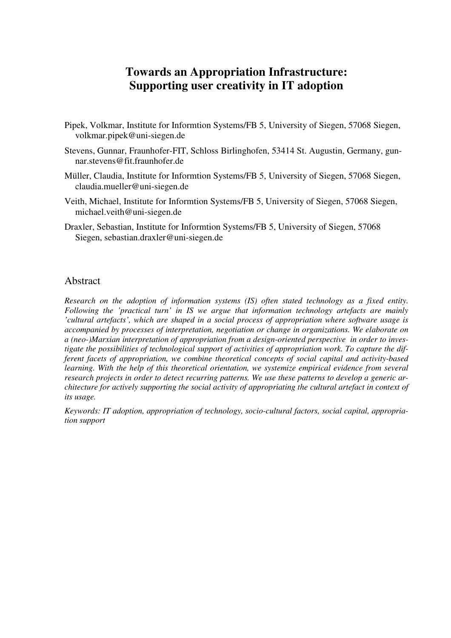# **Towards an Appropriation Infrastructure: Supporting user creativity in IT adoption**

- Pipek, Volkmar, Institute for Informtion Systems/FB 5, University of Siegen, 57068 Siegen, volkmar.pipek@uni-siegen.de
- Stevens, Gunnar, Fraunhofer-FIT, Schloss Birlinghofen, 53414 St. Augustin, Germany, gunnar.stevens@fit.fraunhofer.de
- Müller, Claudia, Institute for Informtion Systems/FB 5, University of Siegen, 57068 Siegen, claudia.mueller@uni-siegen.de
- Veith, Michael, Institute for Informtion Systems/FB 5, University of Siegen, 57068 Siegen, michael.veith@uni-siegen.de
- Draxler, Sebastian, Institute for Informtion Systems/FB 5, University of Siegen, 57068 Siegen, sebastian.draxler@uni-siegen.de

#### Abstract

*Research on the adoption of information systems (IS) often stated technology as a fixed entity. Following the 'practical turn' in IS we argue that information technology artefacts are mainly 'cultural artefacts', which are shaped in a social process of appropriation where software usage is accompanied by processes of interpretation, negotiation or change in organizations. We elaborate on a (neo-)Marxian interpretation of appropriation from a design-oriented perspective in order to investigate the possibilities of technological support of activities of appropriation work. To capture the different facets of appropriation, we combine theoretical concepts of social capital and activity-based learning. With the help of this theoretical orientation, we systemize empirical evidence from several research projects in order to detect recurring patterns. We use these patterns to develop a generic architecture for actively supporting the social activity of appropriating the cultural artefact in context of its usage.*

*Keywords: IT adoption, appropriation of technology, socio-cultural factors, social capital, appropriation support*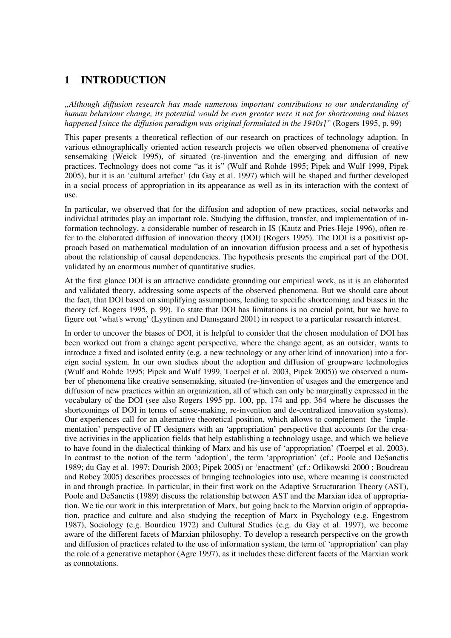## **1 INTRODUCTION**

*"Although diffusion research has made numerous important contributions to our understanding of human behaviour change, its potential would be even greater were it not for shortcoming and biases happened [since the diffusion paradigm was original formulated in the 1940s]"* (Rogers 1995, p. 99)

This paper presents a theoretical reflection of our research on practices of technology adaption. In various ethnographically oriented action research projects we often observed phenomena of creative sensemaking (Weick 1995), of situated (re-)invention and the emerging and diffusion of new practices. Technology does not come "as it is" (Wulf and Rohde 1995; Pipek and Wulf 1999, Pipek 2005), but it is an 'cultural artefact' (du Gay et al. 1997) which will be shaped and further developed in a social process of appropriation in its appearance as well as in its interaction with the context of use.

In particular, we observed that for the diffusion and adoption of new practices, social networks and individual attitudes play an important role. Studying the diffusion, transfer, and implementation of information technology, a considerable number of research in IS (Kautz and Pries-Heje 1996), often refer to the elaborated diffusion of innovation theory (DOI) (Rogers 1995). The DOI is a positivist approach based on mathematical modulation of an innovation diffusion process and a set of hypothesis about the relationship of causal dependencies. The hypothesis presents the empirical part of the DOI, validated by an enormous number of quantitative studies.

At the first glance DOI is an attractive candidate grounding our empirical work, as it is an elaborated and validated theory, addressing some aspects of the observed phenomena. But we should care about the fact, that DOI based on simplifying assumptions, leading to specific shortcoming and biases in the theory (cf. Rogers 1995, p. 99). To state that DOI has limitations is no crucial point, but we have to figure out 'what's wrong' (Lyytinen and Damsgaard 2001) in respect to a particular research interest.

In order to uncover the biases of DOI, it is helpful to consider that the chosen modulation of DOI has been worked out from a change agent perspective, where the change agent, as an outsider, wants to introduce a fixed and isolated entity (e.g. a new technology or any other kind of innovation) into a foreign social system. In our own studies about the adoption and diffusion of groupware technologies (Wulf and Rohde 1995; Pipek and Wulf 1999, Toerpel et al. 2003, Pipek 2005)) we observed a number of phenomena like creative sensemaking, situated (re-)invention of usages and the emergence and diffusion of new practices within an organization, all of which can only be marginally expressed in the vocabulary of the DOI (see also Rogers 1995 pp. 100, pp. 174 and pp. 364 where he discusses the shortcomings of DOI in terms of sense-making, re-invention and de-centralized innovation systems). Our experiences call for an alternative theoretical position, which allows to complement the 'implementation' perspective of IT designers with an 'appropriation' perspective that accounts for the creative activities in the application fields that help establishing a technology usage, and which we believe to have found in the dialectical thinking of Marx and his use of 'appropriation' (Toerpel et al. 2003). In contrast to the notion of the term 'adoption', the term 'appropriation' (cf.: Poole and DeSanctis 1989; du Gay et al. 1997; Dourish 2003; Pipek 2005) or 'enactment' (cf.: Orlikowski 2000 ; Boudreau and Robey 2005) describes processes of bringing technologies into use, where meaning is constructed in and through practice. In particular, in their first work on the Adaptive Structuration Theory (AST), Poole and DeSanctis (1989) discuss the relationship between AST and the Marxian idea of appropriation. We tie our work in this interpretation of Marx, but going back to the Marxian origin of appropriation, practice and culture and also studying the reception of Marx in Psychology (e.g. Engestrom 1987), Sociology (e.g. Bourdieu 1972) and Cultural Studies (e.g. du Gay et al. 1997), we become aware of the different facets of Marxian philosophy. To develop a research perspective on the growth and diffusion of practices related to the use of information system, the term of 'appropriation' can play the role of a generative metaphor (Agre 1997), as it includes these different facets of the Marxian work as connotations.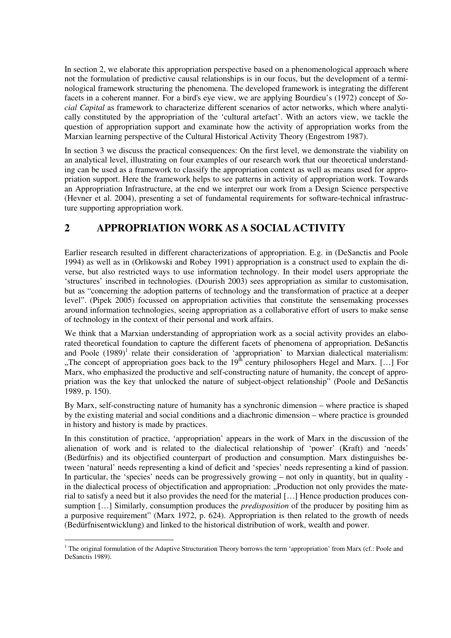In section 2, we elaborate this appropriation perspective based on a phenomenological approach where not the formulation of predictive causal relationships is in our focus, but the development of a terminological framework structuring the phenomena. The developed framework is integrating the different facets in a coherent manner. For a bird's eve view, we are applying Bourdieu's (1972) concept of *Social Capital* as framework to characterize different scenarios of actor networks, which where analytically constituted by the appropriation of the 'cultural artefact'. With an actors view, we tackle the question of appropriation support and examinate how the activity of appropriation works from the Marxian learning perspective of the Cultural Historical Activity Theory (Engestrom 1987).

In section 3 we discuss the practical consequences: On the first level, we demonstrate the viability on an analytical level, illustrating on four examples of our research work that our theoretical understanding can be used as a framework to classify the appropriation context as well as means used for appropriation support. Here the framework helps to see patterns in activity of appropriation work. Towards an Appropriation Infrastructure, at the end we interpret our work from a Design Science perspective (Hevner et al. 2004), presenting a set of fundamental requirements for software-technical infrastructure supporting appropriation work.

## **2 APPROPRIATION WORK AS A SOCIAL ACTIVITY**

Earlier research resulted in different characterizations of appropriation. E.g. in (DeSanctis and Poole 1994) as well as in (Orlikowski and Robey 1991) appropriation is a construct used to explain the diverse, but also restricted ways to use information technology. In their model users appropriate the 'structures' inscribed in technologies. (Dourish 2003) sees appropriation as similar to customisation, but as "concerning the adoption patterns of technology and the transformation of practice at a deeper level". (Pipek 2005) focussed on appropriation activities that constitute the sensemaking processes around information technologies, seeing appropriation as a collaborative effort of users to make sense of technology in the context of their personal and work affairs.

We think that a Marxian understanding of appropriation work as a social activity provides an elaborated theoretical foundation to capture the different facets of phenomena of appropriation. DeSanctis and Poole  $(1989)^1$  relate their consideration of 'appropriation' to Marxian dialectical materialism: "The concept of appropriation goes back to the  $19<sup>th</sup>$  century philosophers Hegel and Marx. [...] For Marx, who emphasized the productive and self-constructing nature of humanity, the concept of appropriation was the key that unlocked the nature of subject-object relationship" (Poole and DeSanctis 1989, p. 150).

By Marx, self-constructing nature of humanity has a synchronic dimension – where practice is shaped by the existing material and social conditions and a diachronic dimension – where practice is grounded in history and history is made by practices.

In this constitution of practice, 'appropriation' appears in the work of Marx in the discussion of the alienation of work and is related to the dialectical relationship of 'power' (Kraft) and 'needs' (Bedürfnis) and its objectified counterpart of production and consumption. Marx distinguishes between 'natural' needs representing a kind of deficit and 'species' needs representing a kind of passion. In particular, the 'species' needs can be progressively growing – not only in quantity, but in quality in the dialectical process of objectification and appropriation: "Production not only provides the material to satisfy a need but it also provides the need for the material […] Hence production produces consumption […] Similarly, consumption produces the *predisposition* of the producer by positing him as a purposive requirement" (Marx 1972, p. 624). Appropriation is then related to the growth of needs (Bedürfnisentwicklung) and linked to the historical distribution of work, wealth and power.

<sup>&</sup>lt;sup>1</sup> The original formulation of the Adaptive Structuration Theory borrows the term 'appropriation' from Marx (cf.: Poole and DeSanctis 1989).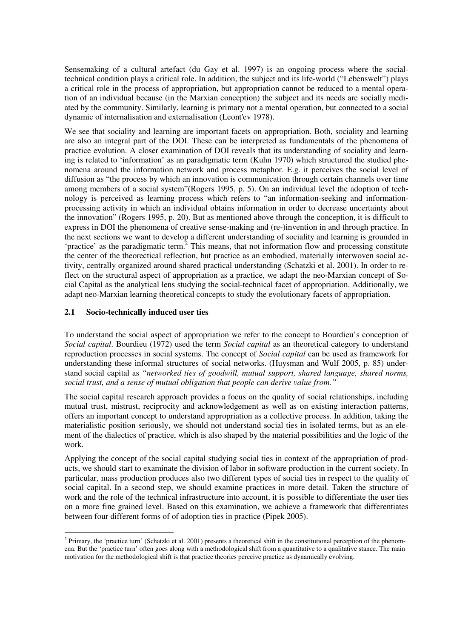Sensemaking of a cultural artefact (du Gay et al. 1997) is an ongoing process where the socialtechnical condition plays a critical role. In addition, the subject and its life-world ("Lebenswelt") plays a critical role in the process of appropriation, but appropriation cannot be reduced to a mental operation of an individual because (in the Marxian conception) the subject and its needs are socially mediated by the community. Similarly, learning is primary not a mental operation, but connected to a social dynamic of internalisation and externalisation (Leont'ev 1978).

We see that sociality and learning are important facets on appropriation. Both, sociality and learning are also an integral part of the DOI. These can be interpreted as fundamentals of the phenomena of practice evolution. A closer examination of DOI reveals that its understanding of sociality and learning is related to 'information' as an paradigmatic term (Kuhn 1970) which structured the studied phenomena around the information network and process metaphor. E.g. it perceives the social level of diffusion as "the process by which an innovation is communication through certain channels over time among members of a social system"(Rogers 1995, p. 5). On an individual level the adoption of technology is perceived as learning process which refers to "an information-seeking and informationprocessing activity in which an individual obtains information in order to decrease uncertainty about the innovation" (Rogers 1995, p. 20). But as mentioned above through the conception, it is difficult to express in DOI the phenomena of creative sense-making and (re-)invention in and through practice. In the next sections we want to develop a different understanding of sociality and learning is grounded in 'practice' as the paradigmatic term.<sup>2</sup> This means, that not information flow and processing constitute the center of the theorectical reflection, but practice as an embodied, materially interwoven social activity, centrally organized around shared practical understanding (Schatzki et al. 2001). In order to reflect on the structural aspect of appropriation as a practice, we adapt the neo-Marxian concept of Social Capital as the analytical lens studying the social-technical facet of appropriation. Additionally, we adapt neo-Marxian learning theoretical concepts to study the evolutionary facets of appropriation.

#### **2.1 Socio-technically induced user ties**

To understand the social aspect of appropriation we refer to the concept to Bourdieu's conception of *Social capital*. Bourdieu (1972) used the term *Social capital* as an theoretical category to understand reproduction processes in social systems. The concept of *Social capital* can be used as framework for understanding these informal structures of social networks. (Huysman and Wulf 2005, p. 85) understand social capital as *"networked ties of goodwill, mutual support, shared language, shared norms, social trust, and a sense of mutual obligation that people can derive value from."*

The social capital research approach provides a focus on the quality of social relationships, including mutual trust, mistrust, reciprocity and acknowledgement as well as on existing interaction patterns, offers an important concept to understand appropriation as a collective process. In addition, taking the materialistic position seriously, we should not understand social ties in isolated terms, but as an element of the dialectics of practice, which is also shaped by the material possibilities and the logic of the work.

Applying the concept of the social capital studying social ties in context of the appropriation of products, we should start to examinate the division of labor in software production in the current society. In particular, mass production produces also two different types of social ties in respect to the quality of social capital. In a second step, we should examine practices in more detail. Taken the structure of work and the role of the technical infrastructure into account, it is possible to differentiate the user ties on a more fine grained level. Based on this examination, we achieve a framework that differentiates between four different forms of of adoption ties in practice (Pipek 2005).

 $2$  Primary, the 'practice turn' (Schatzki et al. 2001) presents a theoretical shift in the constitutional perception of the phenomena. But the 'practice turn' often goes along with a methodological shift from a quantitative to a qualitative stance. The main motivation for the methodological shift is that practice theories perceive practice as dynamically evolving.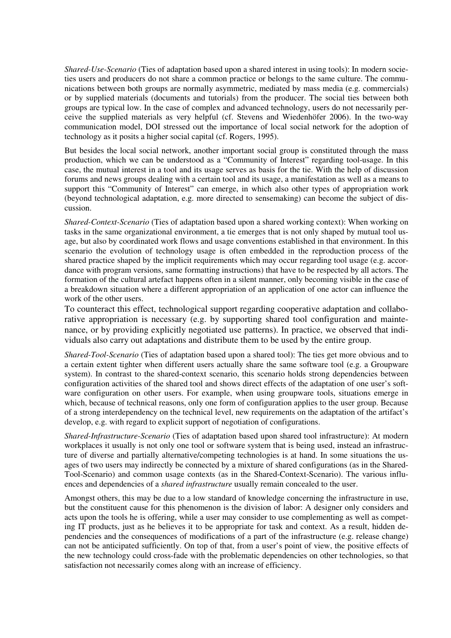*Shared-Use-Scenario* (Ties of adaptation based upon a shared interest in using tools): In modern societies users and producers do not share a common practice or belongs to the same culture. The communications between both groups are normally asymmetric, mediated by mass media (e.g. commercials) or by supplied materials (documents and tutorials) from the producer. The social ties between both groups are typical low. In the case of complex and advanced technology, users do not necessarily perceive the supplied materials as very helpful (cf. Stevens and Wiedenhöfer 2006). In the two-way communication model, DOI stressed out the importance of local social network for the adoption of technology as it posits a higher social capital (cf. Rogers, 1995).

But besides the local social network, another important social group is constituted through the mass production, which we can be understood as a "Community of Interest" regarding tool-usage. In this case, the mutual interest in a tool and its usage serves as basis for the tie. With the help of discussion forums and news groups dealing with a certain tool and its usage, a manifestation as well as a means to support this "Community of Interest" can emerge, in which also other types of appropriation work (beyond technological adaptation, e.g. more directed to sensemaking) can become the subject of discussion.

*Shared-Context-Scenario* (Ties of adaptation based upon a shared working context): When working on tasks in the same organizational environment, a tie emerges that is not only shaped by mutual tool usage, but also by coordinated work flows and usage conventions established in that environment. In this scenario the evolution of technology usage is often embedded in the reproduction process of the shared practice shaped by the implicit requirements which may occur regarding tool usage (e.g. accordance with program versions, same formatting instructions) that have to be respected by all actors. The formation of the cultural artefact happens often in a silent manner, only becoming visible in the case of a breakdown situation where a different appropriation of an application of one actor can influence the work of the other users.

To counteract this effect, technological support regarding cooperative adaptation and collaborative appropriation is necessary (e.g. by supporting shared tool configuration and maintenance, or by providing explicitly negotiated use patterns). In practice, we observed that individuals also carry out adaptations and distribute them to be used by the entire group.

*Shared-Tool-Scenario* (Ties of adaptation based upon a shared tool): The ties get more obvious and to a certain extent tighter when different users actually share the same software tool (e.g. a Groupware system). In contrast to the shared-context scenario, this scenario holds strong dependencies between configuration activities of the shared tool and shows direct effects of the adaptation of one user's software configuration on other users. For example, when using groupware tools, situations emerge in which, because of technical reasons, only one form of configuration applies to the user group. Because of a strong interdependency on the technical level, new requirements on the adaptation of the artifact's develop, e.g. with regard to explicit support of negotiation of configurations.

*Shared-Infrastructure-Scenario* (Ties of adaptation based upon shared tool infrastructure): At modern workplaces it usually is not only one tool or software system that is being used, instead an infrastructure of diverse and partially alternative/competing technologies is at hand. In some situations the usages of two users may indirectly be connected by a mixture of shared configurations (as in the Shared-Tool-Scenario) and common usage contexts (as in the Shared-Context-Scenario). The various influences and dependencies of a *shared infrastructure* usually remain concealed to the user.

Amongst others, this may be due to a low standard of knowledge concerning the infrastructure in use, but the constituent cause for this phenomenon is the division of labor: A designer only considers and acts upon the tools he is offering, while a user may consider to use complementing as well as competing IT products, just as he believes it to be appropriate for task and context. As a result, hidden dependencies and the consequences of modifications of a part of the infrastructure (e.g. release change) can not be anticipated sufficiently. On top of that, from a user's point of view, the positive effects of the new technology could cross-fade with the problematic dependencies on other technologies, so that satisfaction not necessarily comes along with an increase of efficiency.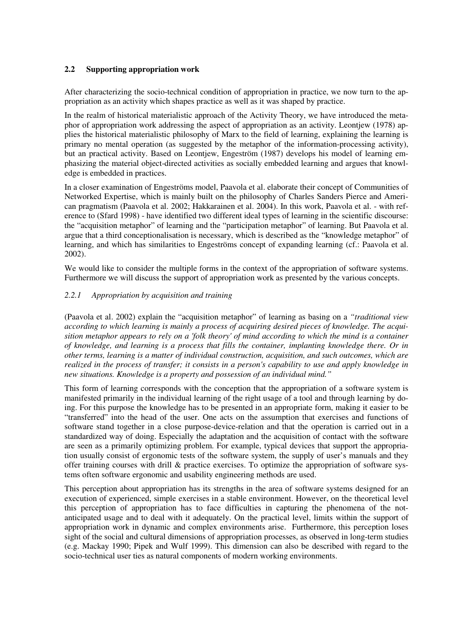#### **2.2 Supporting appropriation work**

After characterizing the socio-technical condition of appropriation in practice, we now turn to the appropriation as an activity which shapes practice as well as it was shaped by practice.

In the realm of historical materialistic approach of the Activity Theory, we have introduced the metaphor of appropriation work addressing the aspect of appropriation as an activity. Leontjew (1978) applies the historical materialistic philosophy of Marx to the field of learning, explaining the learning is primary no mental operation (as suggested by the metaphor of the information-processing activity), but an practical activity. Based on Leontjew, Engeström (1987) develops his model of learning emphasizing the material object-directed activities as socially embedded learning and argues that knowledge is embedded in practices.

In a closer examination of Engeströms model, Paavola et al. elaborate their concept of Communities of Networked Expertise, which is mainly built on the philosophy of Charles Sanders Pierce and American pragmatism (Paavola et al. 2002; Hakkarainen et al. 2004). In this work, Paavola et al. - with reference to (Sfard 1998) - have identified two different ideal types of learning in the scientific discourse: the "acquisition metaphor" of learning and the "participation metaphor" of learning. But Paavola et al. argue that a third conceptionalisation is necessary, which is described as the "knowledge metaphor" of learning, and which has similarities to Engeströms concept of expanding learning (cf.: Paavola et al. 2002).

We would like to consider the multiple forms in the context of the appropriation of software systems. Furthermore we will discuss the support of appropriation work as presented by the various concepts.

#### *2.2.1 Appropriation by acquisition and training*

(Paavola et al. 2002) explain the "acquisition metaphor" of learning as basing on a *"traditional view according to which learning is mainly a process of acquiring desired pieces of knowledge. The acquisition metaphor appears to rely on a 'folk theory' of mind according to which the mind is a container of knowledge, and learning is a process that fills the container, implanting knowledge there. Or in other terms, learning is a matter of individual construction, acquisition, and such outcomes, which are realized in the process of transfer; it consists in a person's capability to use and apply knowledge in new situations. Knowledge is a property and possession of an individual mind."*

This form of learning corresponds with the conception that the appropriation of a software system is manifested primarily in the individual learning of the right usage of a tool and through learning by doing. For this purpose the knowledge has to be presented in an appropriate form, making it easier to be "transferred" into the head of the user. One acts on the assumption that exercises and functions of software stand together in a close purpose-device-relation and that the operation is carried out in a standardized way of doing. Especially the adaptation and the acquisition of contact with the software are seen as a primarily optimizing problem. For example, typical devices that support the appropriation usually consist of ergonomic tests of the software system, the supply of user's manuals and they offer training courses with drill & practice exercises. To optimize the appropriation of software systems often software ergonomic and usability engineering methods are used.

This perception about appropriation has its strengths in the area of software systems designed for an execution of experienced, simple exercises in a stable environment. However, on the theoretical level this perception of appropriation has to face difficulties in capturing the phenomena of the notanticipated usage and to deal with it adequately. On the practical level, limits within the support of appropriation work in dynamic and complex environments arise. Furthermore, this perception loses sight of the social and cultural dimensions of appropriation processes, as observed in long-term studies (e.g. Mackay 1990; Pipek and Wulf 1999). This dimension can also be described with regard to the socio-technical user ties as natural components of modern working environments.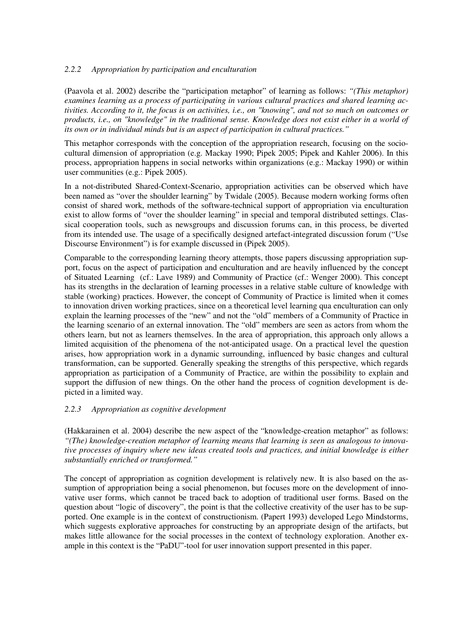#### *2.2.2 Appropriation by participation and enculturation*

(Paavola et al. 2002) describe the "participation metaphor" of learning as follows: *"(This metaphor) examines learning as a process of participating in various cultural practices and shared learning activities. According to it, the focus is on activities, i.e., on "knowing", and not so much on outcomes or products, i.e., on "knowledge" in the traditional sense. Knowledge does not exist either in a world of its own or in individual minds but is an aspect of participation in cultural practices."* 

This metaphor corresponds with the conception of the appropriation research, focusing on the sociocultural dimension of appropriation (e.g. Mackay 1990; Pipek 2005; Pipek and Kahler 2006). In this process, appropriation happens in social networks within organizations (e.g.: Mackay 1990) or within user communities (e.g.: Pipek 2005).

In a not-distributed Shared-Context-Scenario, appropriation activities can be observed which have been named as "over the shoulder learning" by Twidale (2005). Because modern working forms often consist of shared work, methods of the software-technical support of appropriation via enculturation exist to allow forms of "over the shoulder learning" in special and temporal distributed settings. Classical cooperation tools, such as newsgroups and discussion forums can, in this process, be diverted from its intended use. The usage of a specifically designed artefact-integrated discussion forum ("Use Discourse Environment") is for example discussed in (Pipek 2005).

Comparable to the corresponding learning theory attempts, those papers discussing appropriation support, focus on the aspect of participation and enculturation and are heavily influenced by the concept of Situated Learning (cf.: Lave 1989) and Community of Practice (cf.: Wenger 2000). This concept has its strengths in the declaration of learning processes in a relative stable culture of knowledge with stable (working) practices. However, the concept of Community of Practice is limited when it comes to innovation driven working practices, since on a theoretical level learning qua enculturation can only explain the learning processes of the "new" and not the "old" members of a Community of Practice in the learning scenario of an external innovation. The "old" members are seen as actors from whom the others learn, but not as learners themselves. In the area of appropriation, this approach only allows a limited acquisition of the phenomena of the not-anticipated usage. On a practical level the question arises, how appropriation work in a dynamic surrounding, influenced by basic changes and cultural transformation, can be supported. Generally speaking the strengths of this perspective, which regards appropriation as participation of a Community of Practice, are within the possibility to explain and support the diffusion of new things. On the other hand the process of cognition development is depicted in a limited way.

#### *2.2.3 Appropriation as cognitive development*

(Hakkarainen et al. 2004) describe the new aspect of the "knowledge-creation metaphor" as follows: *"(The) knowledge-creation metaphor of learning means that learning is seen as analogous to innovative processes of inquiry where new ideas created tools and practices, and initial knowledge is either substantially enriched or transformed."*

The concept of appropriation as cognition development is relatively new. It is also based on the assumption of appropriation being a social phenomenon, but focuses more on the development of innovative user forms, which cannot be traced back to adoption of traditional user forms. Based on the question about "logic of discovery", the point is that the collective creativity of the user has to be supported. One example is in the context of constructionism. (Papert 1993) developed Lego Mindstorms, which suggests explorative approaches for constructing by an appropriate design of the artifacts, but makes little allowance for the social processes in the context of technology exploration. Another example in this context is the "PaDU"-tool for user innovation support presented in this paper.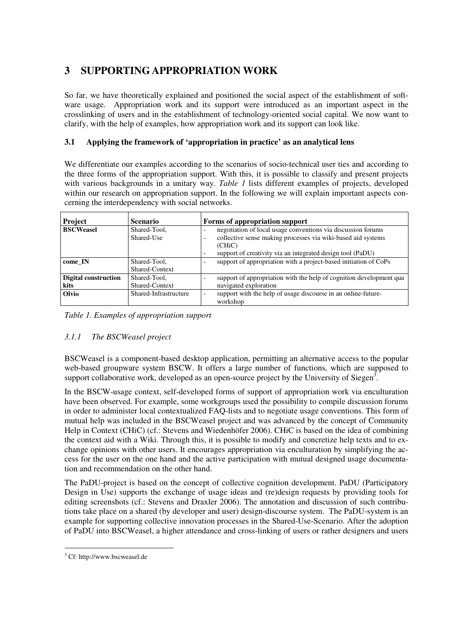# **3 SUPPORTING APPROPRIATION WORK**

So far, we have theoretically explained and positioned the social aspect of the establishment of software usage. Appropriation work and its support were introduced as an important aspect in the crosslinking of users and in the establishment of technology-oriented social capital. We now want to clarify, with the help of examples, how appropriation work and its support can look like.

### **3.1 Applying the framework of 'appropriation in practice' as an analytical lens**

We differentiate our examples according to the scenarios of socio-technical user ties and according to the three forms of the appropriation support. With this, it is possible to classify and present projects with various backgrounds in a unitary way. *Table 1* lists different examples of projects, developed within our research on appropriation support. In the following we will explain important aspects concerning the interdependency with social networks.

| Project                             | <b>Scenario</b>                |                          | Forms of appropriation support                                                                                                                                                                       |
|-------------------------------------|--------------------------------|--------------------------|------------------------------------------------------------------------------------------------------------------------------------------------------------------------------------------------------|
| <b>BSCWeasel</b>                    | Shared-Tool,<br>Shared-Use     | $\overline{\phantom{0}}$ | negotiation of local usage conventions via discussion forums<br>collective sense making processes via wiki-based aid systems<br>(CHiC)<br>support of creativity via an integrated design tool (PaDU) |
| come IN                             | Shared-Tool.<br>Shared-Context |                          | support of appropriation with a project-based initiation of CoPs                                                                                                                                     |
| <b>Digital construction</b><br>kits | Shared-Tool,<br>Shared-Context |                          | support of appropriation with the help of cognition development qua<br>navigated exploration                                                                                                         |
| Olvio                               | Shared-Infrastructure          |                          | support with the help of usage discourse in an online-future-<br>workshop                                                                                                                            |

*Table 1. Examples of appropriation support*

## *3.1.1 The BSCWeasel project*

BSCWeasel is a component-based desktop application, permitting an alternative access to the popular web-based groupware system BSCW. It offers a large number of functions, which are supposed to support collaborative work, developed as an open-source project by the University of Siegen<sup>3</sup>.

In the BSCW-usage context, self-developed forms of support of appropriation work via enculturation have been observed. For example, some workgroups used the possibility to compile discussion forums in order to administer local contextualized FAQ-lists and to negotiate usage conventions. This form of mutual help was included in the BSCWeasel project and was advanced by the concept of Community Help in Context (CHiC) (cf.: Stevens and Wiedenhöfer 2006). CHiC is based on the idea of combining the context aid with a Wiki. Through this, it is possible to modify and concretize help texts and to exchange opinions with other users. It encourages appropriation via enculturation by simplifying the access for the user on the one hand and the active participation with mutual designed usage documentation and recommendation on the other hand.

The PaDU-project is based on the concept of collective cognition development. PaDU (Participatory Design in Use) supports the exchange of usage ideas and (re)design requests by providing tools for editing screenshots (cf.: Stevens and Draxler 2006). The annotation and discussion of such contributions take place on a shared (by developer and user) design-discourse system. The PaDU-system is an example for supporting collective innovation processes in the Shared-Use-Scenario. After the adoption of PaDU into BSCWeasel, a higher attendance and cross-linking of users or rather designers and users

<sup>&</sup>lt;sup>3</sup> Cf: http://www.bscweasel.de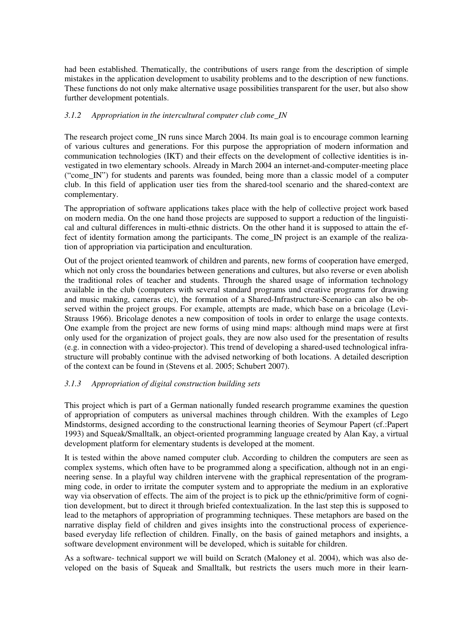had been established. Thematically, the contributions of users range from the description of simple mistakes in the application development to usability problems and to the description of new functions. These functions do not only make alternative usage possibilities transparent for the user, but also show further development potentials.

#### *3.1.2 Appropriation in the intercultural computer club come\_IN*

The research project come IN runs since March 2004. Its main goal is to encourage common learning of various cultures and generations. For this purpose the appropriation of modern information and communication technologies (IKT) and their effects on the development of collective identities is investigated in two elementary schools. Already in March 2004 an internet-and-computer-meeting place ("come\_IN") for students and parents was founded, being more than a classic model of a computer club. In this field of application user ties from the shared-tool scenario and the shared-context are complementary.

The appropriation of software applications takes place with the help of collective project work based on modern media. On the one hand those projects are supposed to support a reduction of the linguistical and cultural differences in multi-ethnic districts. On the other hand it is supposed to attain the effect of identity formation among the participants. The come\_IN project is an example of the realization of appropriation via participation and enculturation.

Out of the project oriented teamwork of children and parents, new forms of cooperation have emerged, which not only cross the boundaries between generations and cultures, but also reverse or even abolish the traditional roles of teacher and students. Through the shared usage of information technology available in the club (computers with several standard programs und creative programs for drawing and music making, cameras etc), the formation of a Shared-Infrastructure-Scenario can also be observed within the project groups. For example, attempts are made, which base on a bricolage (Levi-Strauss 1966). Bricolage denotes a new composition of tools in order to enlarge the usage contexts. One example from the project are new forms of using mind maps: although mind maps were at first only used for the organization of project goals, they are now also used for the presentation of results (e.g. in connection with a video-projector). This trend of developing a shared-used technological infrastructure will probably continue with the advised networking of both locations. A detailed description of the context can be found in (Stevens et al. 2005; Schubert 2007).

#### *3.1.3 Appropriation of digital construction building sets*

This project which is part of a German nationally funded research programme examines the question of appropriation of computers as universal machines through children. With the examples of Lego Mindstorms, designed according to the constructional learning theories of Seymour Papert (cf.:Papert 1993) and Squeak/Smalltalk, an object-oriented programming language created by Alan Kay, a virtual development platform for elementary students is developed at the moment.

It is tested within the above named computer club. According to children the computers are seen as complex systems, which often have to be programmed along a specification, although not in an engineering sense. In a playful way children intervene with the graphical representation of the programming code, in order to irritate the computer system and to appropriate the medium in an explorative way via observation of effects. The aim of the project is to pick up the ethnic/primitive form of cognition development, but to direct it through briefed contextualization. In the last step this is supposed to lead to the metaphors of appropriation of programming techniques. These metaphors are based on the narrative display field of children and gives insights into the constructional process of experiencebased everyday life reflection of children. Finally, on the basis of gained metaphors and insights, a software development environment will be developed, which is suitable for children.

As a software- technical support we will build on Scratch (Maloney et al. 2004), which was also developed on the basis of Squeak and Smalltalk, but restricts the users much more in their learn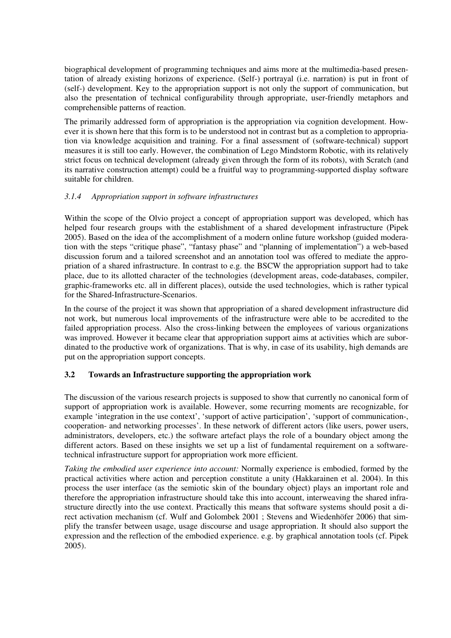biographical development of programming techniques and aims more at the multimedia-based presentation of already existing horizons of experience. (Self-) portrayal (i.e. narration) is put in front of (self-) development. Key to the appropriation support is not only the support of communication, but also the presentation of technical configurability through appropriate, user-friendly metaphors and comprehensible patterns of reaction.

The primarily addressed form of appropriation is the appropriation via cognition development. However it is shown here that this form is to be understood not in contrast but as a completion to appropriation via knowledge acquisition and training. For a final assessment of (software-technical) support measures it is still too early. However, the combination of Lego Mindstorm Robotic, with its relatively strict focus on technical development (already given through the form of its robots), with Scratch (and its narrative construction attempt) could be a fruitful way to programming-supported display software suitable for children.

#### *3.1.4 Appropriation support in software infrastructures*

Within the scope of the Olvio project a concept of appropriation support was developed, which has helped four research groups with the establishment of a shared development infrastructure (Pipek 2005). Based on the idea of the accomplishment of a modern online future workshop (guided moderation with the steps "critique phase", "fantasy phase" and "planning of implementation") a web-based discussion forum and a tailored screenshot and an annotation tool was offered to mediate the appropriation of a shared infrastructure. In contrast to e.g. the BSCW the appropriation support had to take place, due to its allotted character of the technologies (development areas, code-databases, compiler, graphic-frameworks etc. all in different places), outside the used technologies, which is rather typical for the Shared-Infrastructure-Scenarios.

In the course of the project it was shown that appropriation of a shared development infrastructure did not work, but numerous local improvements of the infrastructure were able to be accredited to the failed appropriation process. Also the cross-linking between the employees of various organizations was improved. However it became clear that appropriation support aims at activities which are subordinated to the productive work of organizations. That is why, in case of its usability, high demands are put on the appropriation support concepts.

#### **3.2 Towards an Infrastructure supporting the appropriation work**

The discussion of the various research projects is supposed to show that currently no canonical form of support of appropriation work is available. However, some recurring moments are recognizable, for example 'integration in the use context', 'support of active participation', 'support of communication-, cooperation- and networking processes'. In these network of different actors (like users, power users, administrators, developers, etc.) the software artefact plays the role of a boundary object among the different actors. Based on these insights we set up a list of fundamental requirement on a softwaretechnical infrastructure support for appropriation work more efficient.

*Taking the embodied user experience into account:* Normally experience is embodied, formed by the practical activities where action and perception constitute a unity (Hakkarainen et al. 2004). In this process the user interface (as the semiotic skin of the boundary object) plays an important role and therefore the appropriation infrastructure should take this into account, interweaving the shared infrastructure directly into the use context. Practically this means that software systems should posit a direct activation mechanism (cf. Wulf and Golombek 2001 ; Stevens and Wiedenhöfer 2006) that simplify the transfer between usage, usage discourse and usage appropriation. It should also support the expression and the reflection of the embodied experience. e.g. by graphical annotation tools (cf. Pipek 2005).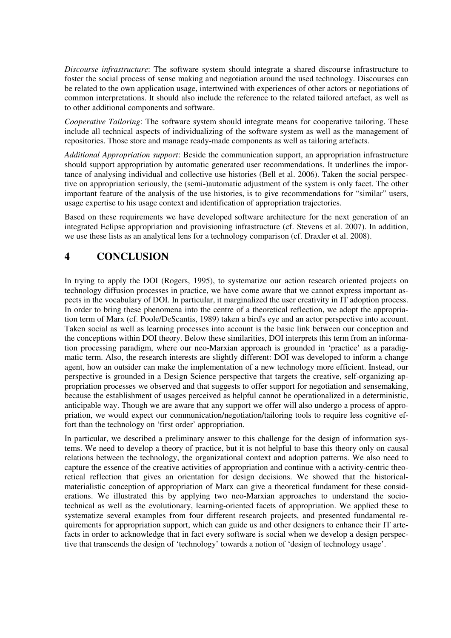*Discourse infrastructure*: The software system should integrate a shared discourse infrastructure to foster the social process of sense making and negotiation around the used technology. Discourses can be related to the own application usage, intertwined with experiences of other actors or negotiations of common interpretations. It should also include the reference to the related tailored artefact, as well as to other additional components and software.

*Cooperative Tailoring*: The software system should integrate means for cooperative tailoring. These include all technical aspects of individualizing of the software system as well as the management of repositories. Those store and manage ready-made components as well as tailoring artefacts.

*Additional Appropriation support*: Beside the communication support, an appropriation infrastructure should support appropriation by automatic generated user recommendations. It underlines the importance of analysing individual and collective use histories (Bell et al. 2006). Taken the social perspective on appropriation seriously, the (semi-)automatic adjustment of the system is only facet. The other important feature of the analysis of the use histories, is to give recommendations for "similar" users, usage expertise to his usage context and identification of appropriation trajectories.

Based on these requirements we have developed software architecture for the next generation of an integrated Eclipse appropriation and provisioning infrastructure (cf. Stevens et al. 2007). In addition, we use these lists as an analytical lens for a technology comparison (cf. Draxler et al. 2008).

## **4 CONCLUSION**

In trying to apply the DOI (Rogers, 1995), to systematize our action research oriented projects on technology diffusion processes in practice, we have come aware that we cannot express important aspects in the vocabulary of DOI. In particular, it marginalized the user creativity in IT adoption process. In order to bring these phenomena into the centre of a theoretical reflection, we adopt the appropriation term of Marx (cf. Poole/DeScantis, 1989) taken a bird's eye and an actor perspective into account. Taken social as well as learning processes into account is the basic link between our conception and the conceptions within DOI theory. Below these similarities, DOI interprets this term from an information processing paradigm, where our neo-Marxian approach is grounded in 'practice' as a paradigmatic term. Also, the research interests are slightly different: DOI was developed to inform a change agent, how an outsider can make the implementation of a new technology more efficient. Instead, our perspective is grounded in a Design Science perspective that targets the creative, self-organizing appropriation processes we observed and that suggests to offer support for negotiation and sensemaking, because the establishment of usages perceived as helpful cannot be operationalized in a deterministic, anticipable way. Though we are aware that any support we offer will also undergo a process of appropriation, we would expect our communication/negotiation/tailoring tools to require less cognitive effort than the technology on 'first order' appropriation.

In particular, we described a preliminary answer to this challenge for the design of information systems. We need to develop a theory of practice, but it is not helpful to base this theory only on causal relations between the technology, the organizational context and adoption patterns. We also need to capture the essence of the creative activities of appropriation and continue with a activity-centric theoretical reflection that gives an orientation for design decisions. We showed that the historicalmaterialistic conception of appropriation of Marx can give a theoretical fundament for these considerations. We illustrated this by applying two neo-Marxian approaches to understand the sociotechnical as well as the evolutionary, learning-oriented facets of appropriation. We applied these to systematize several examples from four different research projects, and presented fundamental requirements for appropriation support, which can guide us and other designers to enhance their IT artefacts in order to acknowledge that in fact every software is social when we develop a design perspective that transcends the design of 'technology' towards a notion of 'design of technology usage'.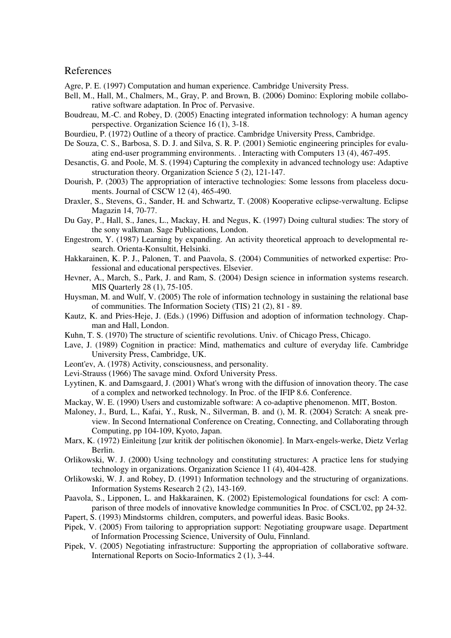#### References

Agre, P. E. (1997) Computation and human experience. Cambridge University Press.

- Bell, M., Hall, M., Chalmers, M., Gray, P. and Brown, B. (2006) Domino: Exploring mobile collaborative software adaptation. In Proc of. Pervasive.
- Boudreau, M.-C. and Robey, D. (2005) Enacting integrated information technology: A human agency perspective. Organization Science 16 (1), 3-18.
- Bourdieu, P. (1972) Outline of a theory of practice. Cambridge University Press, Cambridge.
- De Souza, C. S., Barbosa, S. D. J. and Silva, S. R. P. (2001) Semiotic engineering principles for evaluating end-user programming environments. . Interacting with Computers 13 (4), 467-495.
- Desanctis, G. and Poole, M. S. (1994) Capturing the complexity in advanced technology use: Adaptive structuration theory. Organization Science 5 (2), 121-147.
- Dourish, P. (2003) The appropriation of interactive technologies: Some lessons from placeless documents. Journal of CSCW 12 (4), 465-490.
- Draxler, S., Stevens, G., Sander, H. and Schwartz, T. (2008) Kooperative eclipse-verwaltung. Eclipse Magazin 14, 70-77.
- Du Gay, P., Hall, S., Janes, L., Mackay, H. and Negus, K. (1997) Doing cultural studies: The story of the sony walkman. Sage Publications, London.
- Engestrom, Y. (1987) Learning by expanding. An activity theoretical approach to developmental research. Orienta-Konsultit, Helsinki.
- Hakkarainen, K. P. J., Palonen, T. and Paavola, S. (2004) Communities of networked expertise: Professional and educational perspectives. Elsevier.
- Hevner, A., March, S., Park, J. and Ram, S. (2004) Design science in information systems research. MIS Quarterly 28 (1), 75-105.
- Huysman, M. and Wulf, V. (2005) The role of information technology in sustaining the relational base of communities. The Information Society (TIS) 21 (2), 81 - 89.
- Kautz, K. and Pries-Heje, J. (Eds.) (1996) Diffusion and adoption of information technology. Chapman and Hall, London.
- Kuhn, T. S. (1970) The structure of scientific revolutions. Univ. of Chicago Press, Chicago.
- Lave, J. (1989) Cognition in practice: Mind, mathematics and culture of everyday life. Cambridge University Press, Cambridge, UK.
- Leont'ev, A. (1978) Activity, consciousness, and personality.
- Levi-Strauss (1966) The savage mind. Oxford University Press.
- Lyytinen, K. and Damsgaard, J. (2001) What's wrong with the diffusion of innovation theory. The case of a complex and networked technology. In Proc. of the IFIP 8.6. Conference.
- Mackay, W. E. (1990) Users and customizable software: A co-adaptive phenomenon. MIT, Boston.
- Maloney, J., Burd, L., Kafai, Y., Rusk, N., Silverman, B. and (), M. R. (2004) Scratch: A sneak preview. In Second International Conference on Creating, Connecting, and Collaborating through Computing, pp 104-109, Kyoto, Japan.
- Marx, K. (1972) Einleitung [zur kritik der politischen ökonomie]. In Marx-engels-werke, Dietz Verlag Berlin.
- Orlikowski, W. J. (2000) Using technology and constituting structures: A practice lens for studying technology in organizations. Organization Science 11 (4), 404-428.
- Orlikowski, W. J. and Robey, D. (1991) Information technology and the structuring of organizations. Information Systems Research 2 (2), 143-169.
- Paavola, S., Lipponen, L. and Hakkarainen, K. (2002) Epistemological foundations for cscl: A comparison of three models of innovative knowledge communities In Proc. of CSCL'02, pp 24-32.
- Papert, S. (1993) Mindstorms children, computers, and powerful ideas. Basic Books.
- Pipek, V. (2005) From tailoring to appropriation support: Negotiating groupware usage. Department of Information Processing Science, University of Oulu, Finnland.
- Pipek, V. (2005) Negotiating infrastructure: Supporting the appropriation of collaborative software. International Reports on Socio-Informatics 2 (1), 3-44.